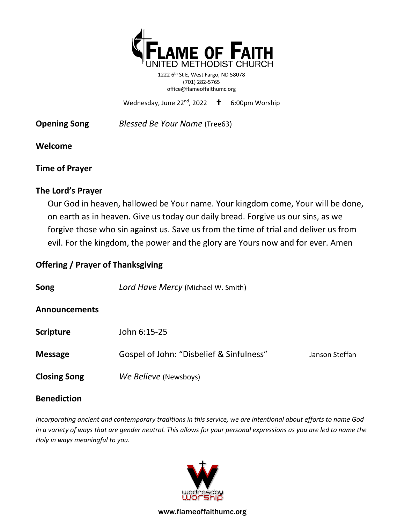

1222 6th St E, West Fargo, ND 58078 (701) 282-5765 office@flameoffaithumc.org

Wednesday, June 22<sup>nd</sup>, 2022  $+$  6:00pm Worship

**Opening Song** *Blessed Be Your Name* (Tree63)

**Welcome**

**Time of Prayer**

#### **The Lord's Prayer**

Our God in heaven, hallowed be Your name. Your kingdom come, Your will be done, on earth as in heaven. Give us today our daily bread. Forgive us our sins, as we forgive those who sin against us. Save us from the time of trial and deliver us from evil. For the kingdom, the power and the glory are Yours now and for ever. Amen

#### **Offering / Prayer of Thanksgiving**

| Song                 | Lord Have Mercy (Michael W. Smith)       |                |
|----------------------|------------------------------------------|----------------|
| <b>Announcements</b> |                                          |                |
| <b>Scripture</b>     | John 6:15-25                             |                |
| <b>Message</b>       | Gospel of John: "Disbelief & Sinfulness" | Janson Steffan |
| <b>Closing Song</b>  | We Believe (Newsboys)                    |                |

#### **Benediction**

*Incorporating ancient and contemporary traditions in this service, we are intentional about efforts to name God in a variety of ways that are gender neutral. This allows for your personal expressions as you are led to name the Holy in ways meaningful to you.*



www.flameoffaithumc.org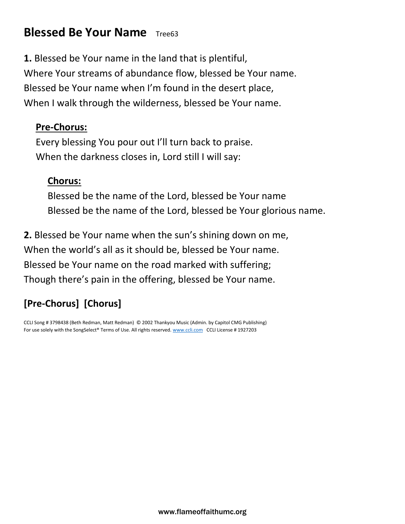## **Blessed Be Your Name Tree63**

**1.** Blessed be Your name in the land that is plentiful, Where Your streams of abundance flow, blessed be Your name. Blessed be Your name when I'm found in the desert place, When I walk through the wilderness, blessed be Your name.

### **Pre-Chorus:**

Every blessing You pour out I'll turn back to praise. When the darkness closes in, Lord still I will say:

### **Chorus:**

Blessed be the name of the Lord, blessed be Your name Blessed be the name of the Lord, blessed be Your glorious name.

**2.** Blessed be Your name when the sun's shining down on me, When the world's all as it should be, blessed be Your name. Blessed be Your name on the road marked with suffering; Though there's pain in the offering, blessed be Your name.

# **[Pre-Chorus] [Chorus]**

CCLI Song # 3798438 (Beth Redman, Matt Redman) © 2002 Thankyou Music (Admin. by Capitol CMG Publishing) For use solely with the SongSelect® Terms of Use. All rights reserved[. www.ccli.com](http://www.ccli.com/) CCLI License # 1927203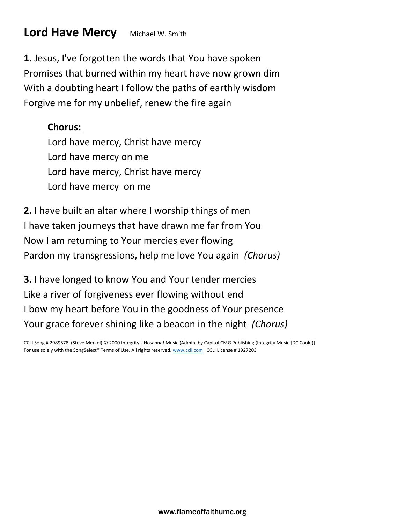# **Lord Have Mercy** Michael W. Smith

**1.** Jesus, I've forgotten the words that You have spoken Promises that burned within my heart have now grown dim With a doubting heart I follow the paths of earthly wisdom Forgive me for my unbelief, renew the fire again

#### **Chorus:**

Lord have mercy, Christ have mercy Lord have mercy on me Lord have mercy, Christ have mercy Lord have mercy on me

**2.** I have built an altar where I worship things of men I have taken journeys that have drawn me far from You Now I am returning to Your mercies ever flowing Pardon my transgressions, help me love You again *(Chorus)*

**3.** I have longed to know You and Your tender mercies Like a river of forgiveness ever flowing without end I bow my heart before You in the goodness of Your presence Your grace forever shining like a beacon in the night *(Chorus)*

CCLI Song # 2989578 (Steve Merkel) © 2000 Integrity's Hosanna! Music (Admin. by Capitol CMG Publishing (Integrity Music [DC Cook])) For use solely with the SongSelect® Terms of Use. All rights reserved[. www.ccli.com](http://www.ccli.com/) CCLI License # 1927203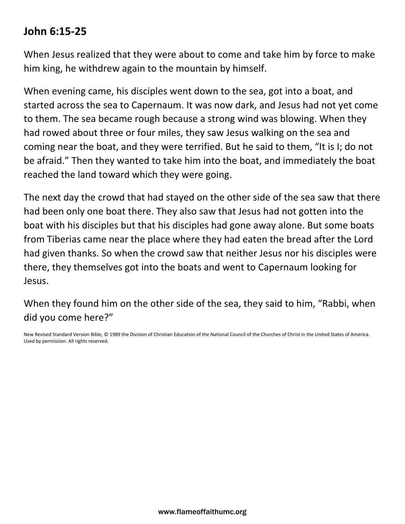## **John 6:15-25**

When Jesus realized that they were about to come and take him by force to make him king, he withdrew again to the mountain by himself.

When evening came, his disciples went down to the sea, got into a boat, and started across the sea to Capernaum. It was now dark, and Jesus had not yet come to them. The sea became rough because a strong wind was blowing. When they had rowed about three or four miles, they saw Jesus walking on the sea and coming near the boat, and they were terrified. But he said to them, "It is I; do not be afraid." Then they wanted to take him into the boat, and immediately the boat reached the land toward which they were going.

The next day the crowd that had stayed on the other side of the sea saw that there had been only one boat there. They also saw that Jesus had not gotten into the boat with his disciples but that his disciples had gone away alone. But some boats from Tiberias came near the place where they had eaten the bread after the Lord had given thanks. So when the crowd saw that neither Jesus nor his disciples were there, they themselves got into the boats and went to Capernaum looking for Jesus.

When they found him on the other side of the sea, they said to him, "Rabbi, when did you come here?"

New Revised Standard Version Bible, © 1989 the Division of Christian Education of the National Council of the Churches of Christ in the United States of America. Used by permission. All rights reserved.